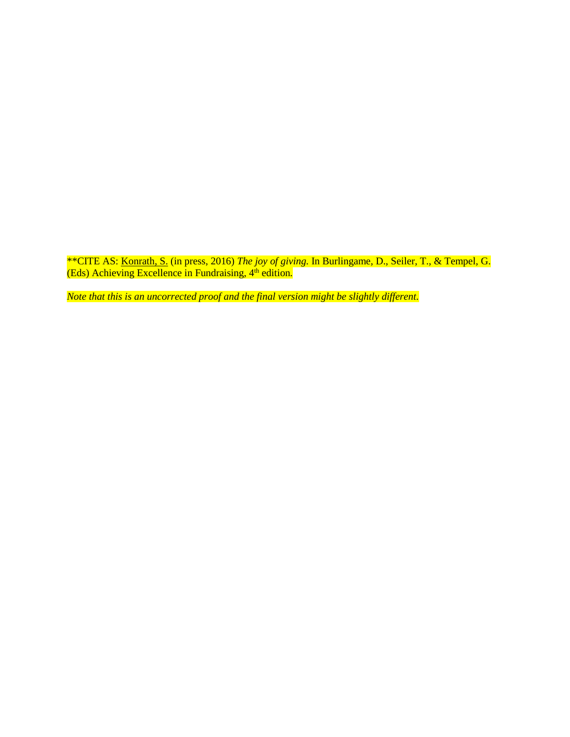\*\*CITE AS: Konrath, S. (in press, 2016) *The joy of giving.* In Burlingame, D., Seiler, T., & Tempel, G. (Eds) Achieving Excellence in Fundraising, 4<sup>th</sup> edition.

*Note that this is an uncorrected proof and the final version might be slightly different.*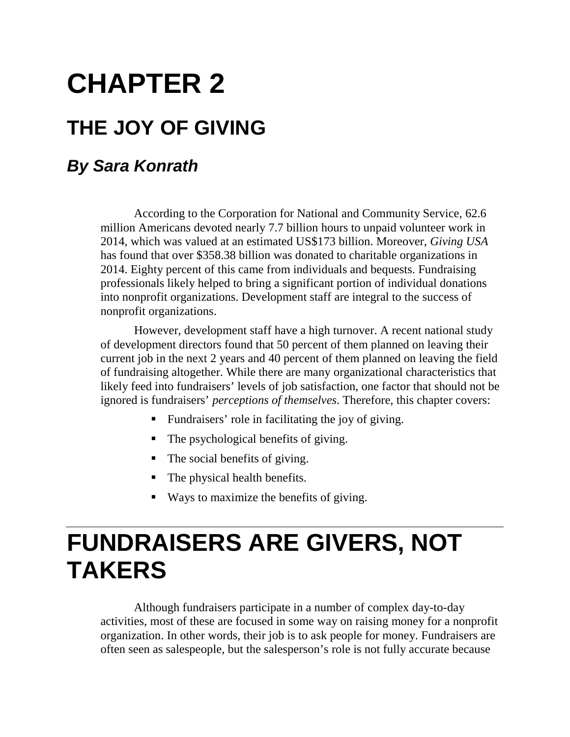# **CHAPTER 2 THE JOY OF GIVING**

#### *By Sara Konrath*

According to the Corporation for National and Community Service, 62.6 million Americans devoted nearly 7.7 billion hours to unpaid volunteer work in 2014, which was valued at an estimated US\$173 billion. Moreover, *Giving USA* has found that over \$358.38 billion was donated to charitable organizations in 2014. Eighty percent of this came from individuals and bequests. Fundraising professionals likely helped to bring a significant portion of individual donations into nonprofit organizations. Development staff are integral to the success of nonprofit organizations.

However, development staff have a high turnover. A recent national study of development directors found that 50 percent of them planned on leaving their current job in the next 2 years and 40 percent of them planned on leaving the field of fundraising altogether. While there are many organizational characteristics that likely feed into fundraisers' levels of job satisfaction, one factor that should not be ignored is fundraisers' *perceptions of themselves*. Therefore, this chapter covers:

- Fundraisers' role in facilitating the joy of giving.
- The psychological benefits of giving.
- The social benefits of giving.
- The physical health benefits.
- Ways to maximize the benefits of giving.

## **FUNDRAISERS ARE GIVERS, NOT TAKERS**

Although fundraisers participate in a number of complex day-to-day activities, most of these are focused in some way on raising money for a nonprofit organization. In other words, their job is to ask people for money. Fundraisers are often seen as salespeople, but the salesperson's role is not fully accurate because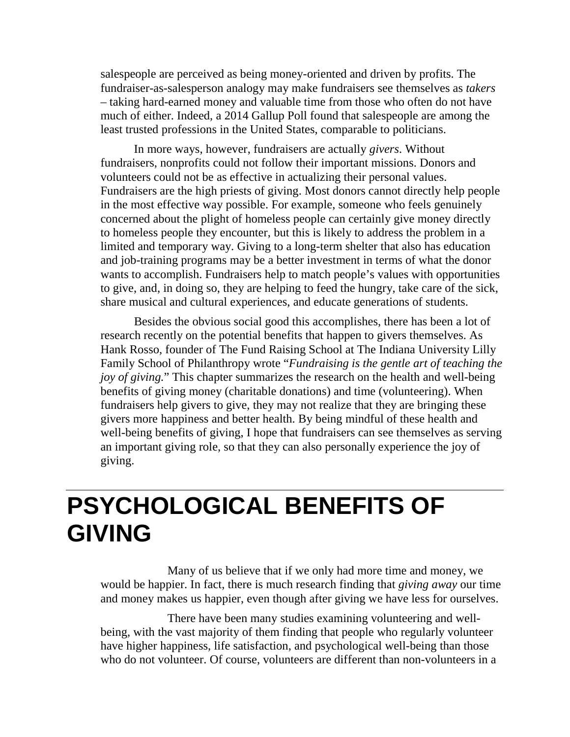salespeople are perceived as being money-oriented and driven by profits. The fundraiser-as-salesperson analogy may make fundraisers see themselves as *takers* – taking hard-earned money and valuable time from those who often do not have much of either. Indeed, a 2014 Gallup Poll found that salespeople are among the least trusted professions in the United States, comparable to politicians.

In more ways, however, fundraisers are actually *givers*. Without fundraisers, nonprofits could not follow their important missions. Donors and volunteers could not be as effective in actualizing their personal values. Fundraisers are the high priests of giving. Most donors cannot directly help people in the most effective way possible. For example, someone who feels genuinely concerned about the plight of homeless people can certainly give money directly to homeless people they encounter, but this is likely to address the problem in a limited and temporary way. Giving to a long-term shelter that also has education and job-training programs may be a better investment in terms of what the donor wants to accomplish. Fundraisers help to match people's values with opportunities to give, and, in doing so, they are helping to feed the hungry, take care of the sick, share musical and cultural experiences, and educate generations of students.

Besides the obvious social good this accomplishes, there has been a lot of research recently on the potential benefits that happen to givers themselves. As Hank Rosso, founder of The Fund Raising School at The Indiana University Lilly Family School of Philanthropy wrote "*Fundraising is the gentle art of teaching the joy of giving.*" This chapter summarizes the research on the health and well-being benefits of giving money (charitable donations) and time (volunteering). When fundraisers help givers to give, they may not realize that they are bringing these givers more happiness and better health. By being mindful of these health and well-being benefits of giving, I hope that fundraisers can see themselves as serving an important giving role, so that they can also personally experience the joy of giving.

## **PSYCHOLOGICAL BENEFITS OF GIVING**

Many of us believe that if we only had more time and money, we would be happier. In fact, there is much research finding that *giving away* our time and money makes us happier, even though after giving we have less for ourselves.

There have been many studies examining volunteering and wellbeing, with the vast majority of them finding that people who regularly volunteer have higher happiness, life satisfaction, and psychological well-being than those who do not volunteer. Of course, volunteers are different than non-volunteers in a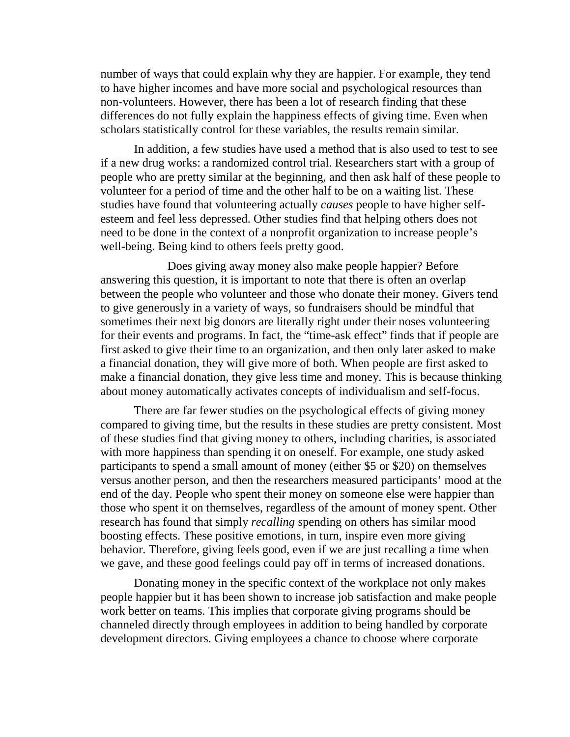number of ways that could explain why they are happier. For example, they tend to have higher incomes and have more social and psychological resources than non-volunteers. However, there has been a lot of research finding that these differences do not fully explain the happiness effects of giving time. Even when scholars statistically control for these variables, the results remain similar.

In addition, a few studies have used a method that is also used to test to see if a new drug works: a randomized control trial. Researchers start with a group of people who are pretty similar at the beginning, and then ask half of these people to volunteer for a period of time and the other half to be on a waiting list. These studies have found that volunteering actually *causes* people to have higher selfesteem and feel less depressed. Other studies find that helping others does not need to be done in the context of a nonprofit organization to increase people's well-being. Being kind to others feels pretty good.

Does giving away money also make people happier? Before answering this question, it is important to note that there is often an overlap between the people who volunteer and those who donate their money. Givers tend to give generously in a variety of ways, so fundraisers should be mindful that sometimes their next big donors are literally right under their noses volunteering for their events and programs. In fact, the "time-ask effect" finds that if people are first asked to give their time to an organization, and then only later asked to make a financial donation, they will give more of both. When people are first asked to make a financial donation, they give less time and money. This is because thinking about money automatically activates concepts of individualism and self-focus.

There are far fewer studies on the psychological effects of giving money compared to giving time, but the results in these studies are pretty consistent. Most of these studies find that giving money to others, including charities, is associated with more happiness than spending it on oneself. For example, one study asked participants to spend a small amount of money (either \$5 or \$20) on themselves versus another person, and then the researchers measured participants' mood at the end of the day. People who spent their money on someone else were happier than those who spent it on themselves, regardless of the amount of money spent. Other research has found that simply *recalling* spending on others has similar mood boosting effects. These positive emotions, in turn, inspire even more giving behavior. Therefore, giving feels good, even if we are just recalling a time when we gave, and these good feelings could pay off in terms of increased donations.

Donating money in the specific context of the workplace not only makes people happier but it has been shown to increase job satisfaction and make people work better on teams. This implies that corporate giving programs should be channeled directly through employees in addition to being handled by corporate development directors. Giving employees a chance to choose where corporate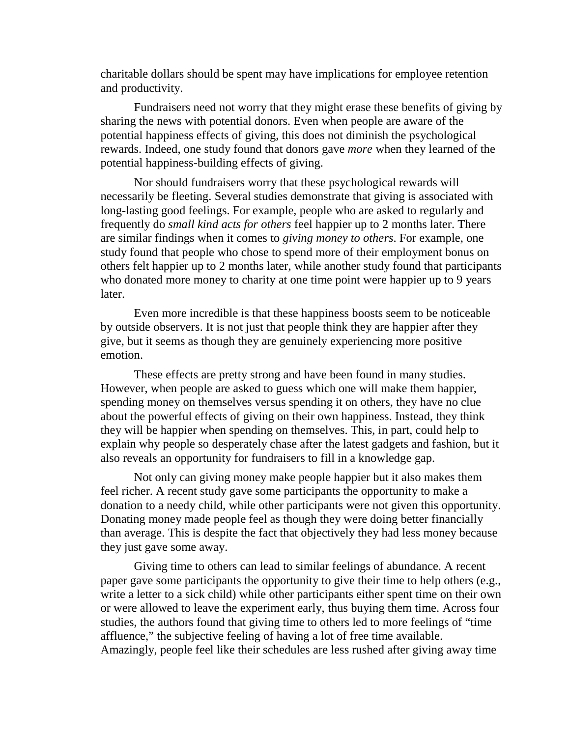charitable dollars should be spent may have implications for employee retention and productivity.

Fundraisers need not worry that they might erase these benefits of giving by sharing the news with potential donors. Even when people are aware of the potential happiness effects of giving, this does not diminish the psychological rewards. Indeed, one study found that donors gave *more* when they learned of the potential happiness-building effects of giving.

Nor should fundraisers worry that these psychological rewards will necessarily be fleeting. Several studies demonstrate that giving is associated with long-lasting good feelings. For example, people who are asked to regularly and frequently do *small kind acts for others* feel happier up to 2 months later. There are similar findings when it comes to *giving money to others*. For example, one study found that people who chose to spend more of their employment bonus on others felt happier up to 2 months later, while another study found that participants who donated more money to charity at one time point were happier up to 9 years later.

Even more incredible is that these happiness boosts seem to be noticeable by outside observers. It is not just that people think they are happier after they give, but it seems as though they are genuinely experiencing more positive emotion.

These effects are pretty strong and have been found in many studies. However, when people are asked to guess which one will make them happier, spending money on themselves versus spending it on others, they have no clue about the powerful effects of giving on their own happiness. Instead, they think they will be happier when spending on themselves. This, in part, could help to explain why people so desperately chase after the latest gadgets and fashion, but it also reveals an opportunity for fundraisers to fill in a knowledge gap.

Not only can giving money make people happier but it also makes them feel richer. A recent study gave some participants the opportunity to make a donation to a needy child, while other participants were not given this opportunity. Donating money made people feel as though they were doing better financially than average. This is despite the fact that objectively they had less money because they just gave some away.

Giving time to others can lead to similar feelings of abundance. A recent paper gave some participants the opportunity to give their time to help others (e.g., write a letter to a sick child) while other participants either spent time on their own or were allowed to leave the experiment early, thus buying them time. Across four studies, the authors found that giving time to others led to more feelings of "time affluence," the subjective feeling of having a lot of free time available. Amazingly, people feel like their schedules are less rushed after giving away time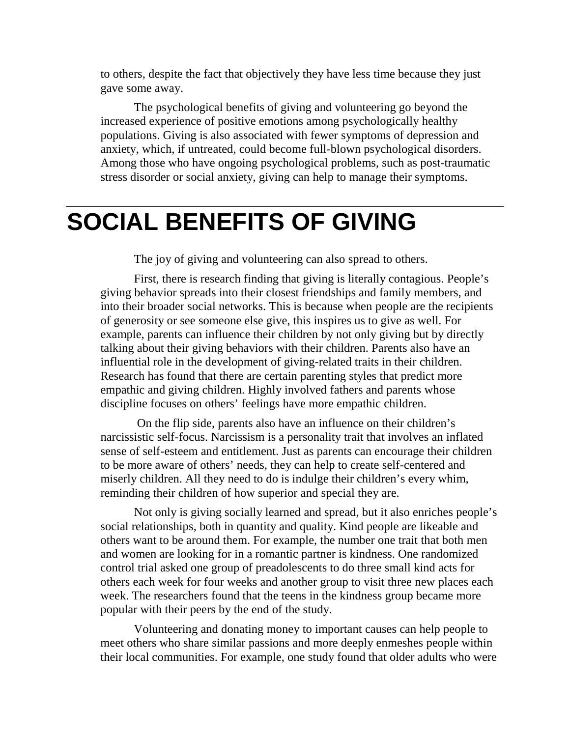to others, despite the fact that objectively they have less time because they just gave some away.

The psychological benefits of giving and volunteering go beyond the increased experience of positive emotions among psychologically healthy populations. Giving is also associated with fewer symptoms of depression and anxiety, which, if untreated, could become full-blown psychological disorders. Among those who have ongoing psychological problems, such as post-traumatic stress disorder or social anxiety, giving can help to manage their symptoms.

## **SOCIAL BENEFITS OF GIVING**

The joy of giving and volunteering can also spread to others.

First, there is research finding that giving is literally contagious. People's giving behavior spreads into their closest friendships and family members, and into their broader social networks. This is because when people are the recipients of generosity or see someone else give, this inspires us to give as well. For example, parents can influence their children by not only giving but by directly talking about their giving behaviors with their children. Parents also have an influential role in the development of giving-related traits in their children. Research has found that there are certain parenting styles that predict more empathic and giving children. Highly involved fathers and parents whose discipline focuses on others' feelings have more empathic children.

On the flip side, parents also have an influence on their children's narcissistic self-focus. Narcissism is a personality trait that involves an inflated sense of self-esteem and entitlement. Just as parents can encourage their children to be more aware of others' needs, they can help to create self-centered and miserly children. All they need to do is indulge their children's every whim, reminding their children of how superior and special they are.

Not only is giving socially learned and spread, but it also enriches people's social relationships, both in quantity and quality. Kind people are likeable and others want to be around them. For example, the number one trait that both men and women are looking for in a romantic partner is kindness. One randomized control trial asked one group of preadolescents to do three small kind acts for others each week for four weeks and another group to visit three new places each week. The researchers found that the teens in the kindness group became more popular with their peers by the end of the study.

Volunteering and donating money to important causes can help people to meet others who share similar passions and more deeply enmeshes people within their local communities. For example, one study found that older adults who were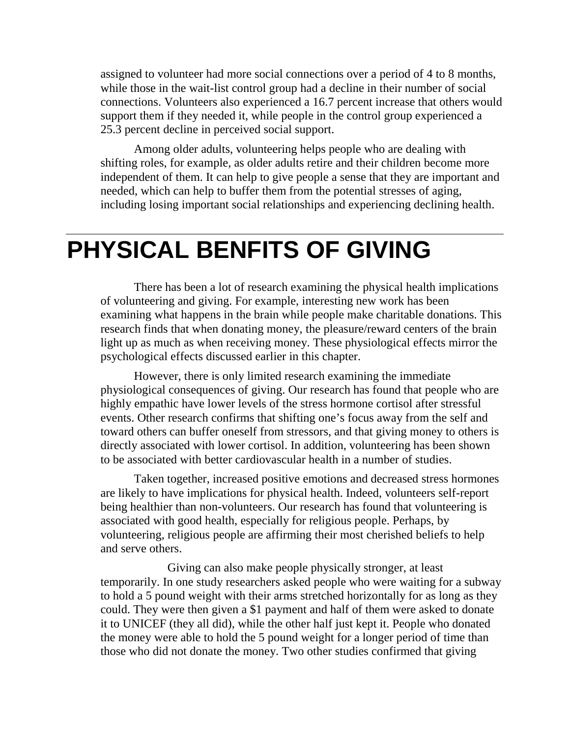assigned to volunteer had more social connections over a period of 4 to 8 months, while those in the wait-list control group had a decline in their number of social connections. Volunteers also experienced a 16.7 percent increase that others would support them if they needed it, while people in the control group experienced a 25.3 percent decline in perceived social support.

Among older adults, volunteering helps people who are dealing with shifting roles, for example, as older adults retire and their children become more independent of them. It can help to give people a sense that they are important and needed, which can help to buffer them from the potential stresses of aging, including losing important social relationships and experiencing declining health.

## **PHYSICAL BENFITS OF GIVING**

There has been a lot of research examining the physical health implications of volunteering and giving. For example, interesting new work has been examining what happens in the brain while people make charitable donations. This research finds that when donating money, the pleasure/reward centers of the brain light up as much as when receiving money. These physiological effects mirror the psychological effects discussed earlier in this chapter.

However, there is only limited research examining the immediate physiological consequences of giving. Our research has found that people who are highly empathic have lower levels of the stress hormone cortisol after stressful events. Other research confirms that shifting one's focus away from the self and toward others can buffer oneself from stressors, and that giving money to others is directly associated with lower cortisol. In addition, volunteering has been shown to be associated with better cardiovascular health in a number of studies.

Taken together, increased positive emotions and decreased stress hormones are likely to have implications for physical health. Indeed, volunteers self-report being healthier than non-volunteers. Our research has found that volunteering is associated with good health, especially for religious people. Perhaps, by volunteering, religious people are affirming their most cherished beliefs to help and serve others.

Giving can also make people physically stronger, at least temporarily. In one study researchers asked people who were waiting for a subway to hold a 5 pound weight with their arms stretched horizontally for as long as they could. They were then given a \$1 payment and half of them were asked to donate it to UNICEF (they all did), while the other half just kept it. People who donated the money were able to hold the 5 pound weight for a longer period of time than those who did not donate the money. Two other studies confirmed that giving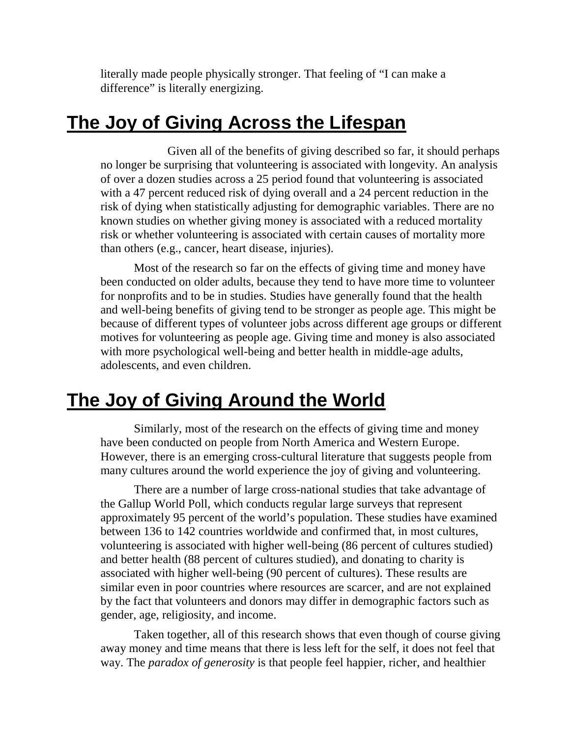literally made people physically stronger. That feeling of "I can make a difference" is literally energizing.

#### **The Joy of Giving Across the Lifespan**

Given all of the benefits of giving described so far, it should perhaps no longer be surprising that volunteering is associated with longevity. An analysis of over a dozen studies across a 25 period found that volunteering is associated with a 47 percent reduced risk of dying overall and a 24 percent reduction in the risk of dying when statistically adjusting for demographic variables. There are no known studies on whether giving money is associated with a reduced mortality risk or whether volunteering is associated with certain causes of mortality more than others (e.g., cancer, heart disease, injuries).

Most of the research so far on the effects of giving time and money have been conducted on older adults, because they tend to have more time to volunteer for nonprofits and to be in studies. Studies have generally found that the health and well-being benefits of giving tend to be stronger as people age. This might be because of different types of volunteer jobs across different age groups or different motives for volunteering as people age. Giving time and money is also associated with more psychological well-being and better health in middle-age adults, adolescents, and even children.

#### **The Joy of Giving Around the World**

Similarly, most of the research on the effects of giving time and money have been conducted on people from North America and Western Europe. However, there is an emerging cross-cultural literature that suggests people from many cultures around the world experience the joy of giving and volunteering.

There are a number of large cross-national studies that take advantage of the Gallup World Poll, which conducts regular large surveys that represent approximately 95 percent of the world's population. These studies have examined between 136 to 142 countries worldwide and confirmed that, in most cultures, volunteering is associated with higher well-being (86 percent of cultures studied) and better health (88 percent of cultures studied), and donating to charity is associated with higher well-being (90 percent of cultures). These results are similar even in poor countries where resources are scarcer, and are not explained by the fact that volunteers and donors may differ in demographic factors such as gender, age, religiosity, and income.

Taken together, all of this research shows that even though of course giving away money and time means that there is less left for the self, it does not feel that way. The *paradox of generosity* is that people feel happier, richer, and healthier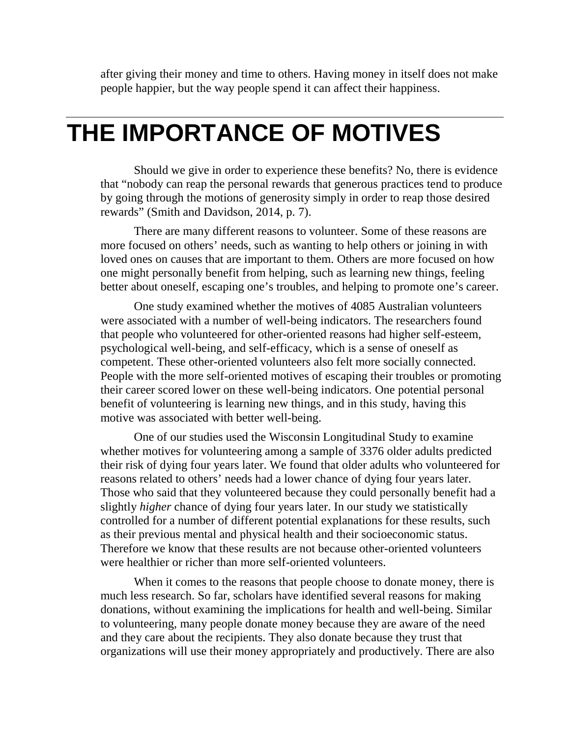after giving their money and time to others. Having money in itself does not make people happier, but the way people spend it can affect their happiness.

## **THE IMPORTANCE OF MOTIVES**

Should we give in order to experience these benefits? No, there is evidence that "nobody can reap the personal rewards that generous practices tend to produce by going through the motions of generosity simply in order to reap those desired rewards" (Smith and Davidson, 2014, p. 7).

There are many different reasons to volunteer. Some of these reasons are more focused on others' needs, such as wanting to help others or joining in with loved ones on causes that are important to them. Others are more focused on how one might personally benefit from helping, such as learning new things, feeling better about oneself, escaping one's troubles, and helping to promote one's career.

One study examined whether the motives of 4085 Australian volunteers were associated with a number of well-being indicators. The researchers found that people who volunteered for other-oriented reasons had higher self-esteem, psychological well-being, and self-efficacy, which is a sense of oneself as competent. These other-oriented volunteers also felt more socially connected. People with the more self-oriented motives of escaping their troubles or promoting their career scored lower on these well-being indicators. One potential personal benefit of volunteering is learning new things, and in this study, having this motive was associated with better well-being.

One of our studies used the Wisconsin Longitudinal Study to examine whether motives for volunteering among a sample of 3376 older adults predicted their risk of dying four years later. We found that older adults who volunteered for reasons related to others' needs had a lower chance of dying four years later. Those who said that they volunteered because they could personally benefit had a slightly *higher* chance of dying four years later. In our study we statistically controlled for a number of different potential explanations for these results, such as their previous mental and physical health and their socioeconomic status. Therefore we know that these results are not because other-oriented volunteers were healthier or richer than more self-oriented volunteers.

When it comes to the reasons that people choose to donate money, there is much less research. So far, scholars have identified several reasons for making donations, without examining the implications for health and well-being. Similar to volunteering, many people donate money because they are aware of the need and they care about the recipients. They also donate because they trust that organizations will use their money appropriately and productively. There are also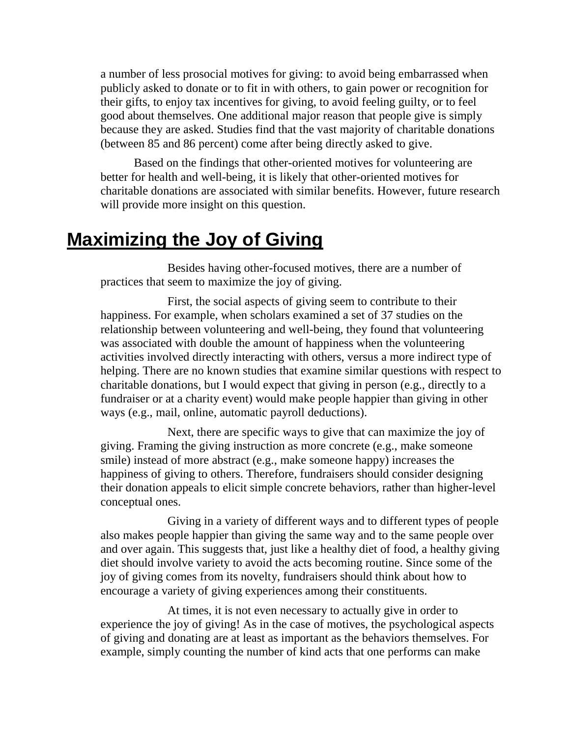a number of less prosocial motives for giving: to avoid being embarrassed when publicly asked to donate or to fit in with others, to gain power or recognition for their gifts, to enjoy tax incentives for giving, to avoid feeling guilty, or to feel good about themselves. One additional major reason that people give is simply because they are asked. Studies find that the vast majority of charitable donations (between 85 and 86 percent) come after being directly asked to give.

Based on the findings that other-oriented motives for volunteering are better for health and well-being, it is likely that other-oriented motives for charitable donations are associated with similar benefits. However, future research will provide more insight on this question.

#### **Maximizing the Joy of Giving**

Besides having other-focused motives, there are a number of practices that seem to maximize the joy of giving.

First, the social aspects of giving seem to contribute to their happiness. For example, when scholars examined a set of 37 studies on the relationship between volunteering and well-being, they found that volunteering was associated with double the amount of happiness when the volunteering activities involved directly interacting with others, versus a more indirect type of helping. There are no known studies that examine similar questions with respect to charitable donations, but I would expect that giving in person (e.g., directly to a fundraiser or at a charity event) would make people happier than giving in other ways (e.g., mail, online, automatic payroll deductions).

Next, there are specific ways to give that can maximize the joy of giving. Framing the giving instruction as more concrete (e.g., make someone smile) instead of more abstract (e.g., make someone happy) increases the happiness of giving to others. Therefore, fundraisers should consider designing their donation appeals to elicit simple concrete behaviors, rather than higher-level conceptual ones.

Giving in a variety of different ways and to different types of people also makes people happier than giving the same way and to the same people over and over again. This suggests that, just like a healthy diet of food, a healthy giving diet should involve variety to avoid the acts becoming routine. Since some of the joy of giving comes from its novelty, fundraisers should think about how to encourage a variety of giving experiences among their constituents.

At times, it is not even necessary to actually give in order to experience the joy of giving! As in the case of motives, the psychological aspects of giving and donating are at least as important as the behaviors themselves. For example, simply counting the number of kind acts that one performs can make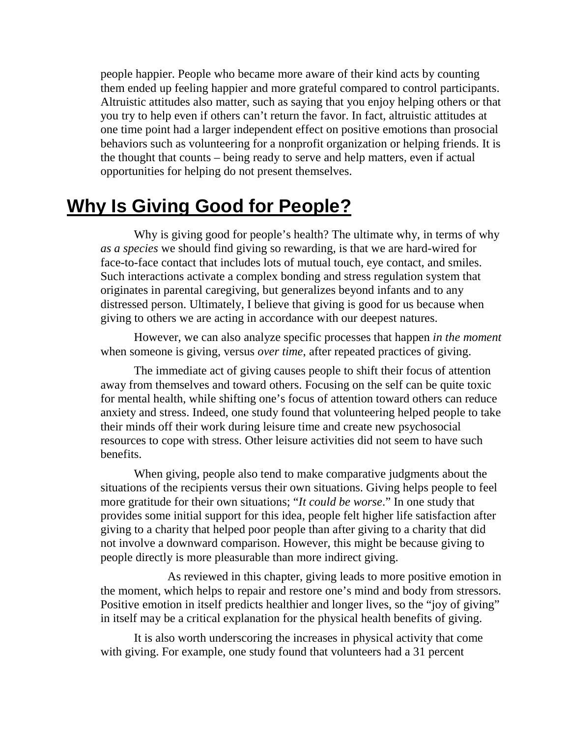people happier. People who became more aware of their kind acts by counting them ended up feeling happier and more grateful compared to control participants. Altruistic attitudes also matter, such as saying that you enjoy helping others or that you try to help even if others can't return the favor. In fact, altruistic attitudes at one time point had a larger independent effect on positive emotions than prosocial behaviors such as volunteering for a nonprofit organization or helping friends. It is the thought that counts – being ready to serve and help matters, even if actual opportunities for helping do not present themselves.

#### **Why Is Giving Good for People?**

Why is giving good for people's health? The ultimate why, in terms of why *as a species* we should find giving so rewarding, is that we are hard-wired for face-to-face contact that includes lots of mutual touch, eye contact, and smiles. Such interactions activate a complex bonding and stress regulation system that originates in parental caregiving, but generalizes beyond infants and to any distressed person. Ultimately, I believe that giving is good for us because when giving to others we are acting in accordance with our deepest natures.

However, we can also analyze specific processes that happen *in the moment* when someone is giving, versus *over time*, after repeated practices of giving.

The immediate act of giving causes people to shift their focus of attention away from themselves and toward others. Focusing on the self can be quite toxic for mental health, while shifting one's focus of attention toward others can reduce anxiety and stress. Indeed, one study found that volunteering helped people to take their minds off their work during leisure time and create new psychosocial resources to cope with stress. Other leisure activities did not seem to have such benefits.

When giving, people also tend to make comparative judgments about the situations of the recipients versus their own situations. Giving helps people to feel more gratitude for their own situations; "*It could be worse*." In one study that provides some initial support for this idea, people felt higher life satisfaction after giving to a charity that helped poor people than after giving to a charity that did not involve a downward comparison. However, this might be because giving to people directly is more pleasurable than more indirect giving.

As reviewed in this chapter, giving leads to more positive emotion in the moment, which helps to repair and restore one's mind and body from stressors. Positive emotion in itself predicts healthier and longer lives, so the "joy of giving" in itself may be a critical explanation for the physical health benefits of giving.

It is also worth underscoring the increases in physical activity that come with giving. For example, one study found that volunteers had a 31 percent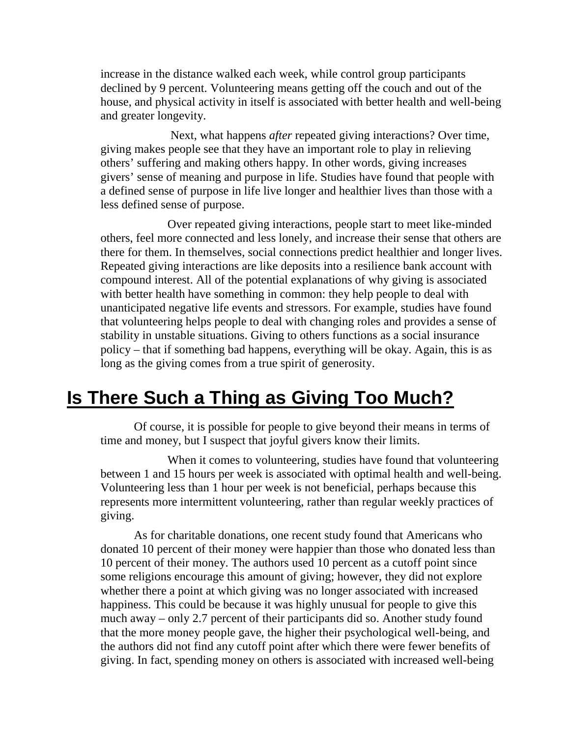increase in the distance walked each week, while control group participants declined by 9 percent. Volunteering means getting off the couch and out of the house, and physical activity in itself is associated with better health and well-being and greater longevity.

Next, what happens *after* repeated giving interactions? Over time, giving makes people see that they have an important role to play in relieving others' suffering and making others happy. In other words, giving increases givers' sense of meaning and purpose in life. Studies have found that people with a defined sense of purpose in life live longer and healthier lives than those with a less defined sense of purpose.

Over repeated giving interactions, people start to meet like-minded others, feel more connected and less lonely, and increase their sense that others are there for them. In themselves, social connections predict healthier and longer lives. Repeated giving interactions are like deposits into a resilience bank account with compound interest. All of the potential explanations of why giving is associated with better health have something in common: they help people to deal with unanticipated negative life events and stressors. For example, studies have found that volunteering helps people to deal with changing roles and provides a sense of stability in unstable situations. Giving to others functions as a social insurance policy – that if something bad happens, everything will be okay. Again, this is as long as the giving comes from a true spirit of generosity.

### **Is There Such a Thing as Giving Too Much?**

Of course, it is possible for people to give beyond their means in terms of time and money, but I suspect that joyful givers know their limits.

When it comes to volunteering, studies have found that volunteering between 1 and 15 hours per week is associated with optimal health and well-being. Volunteering less than 1 hour per week is not beneficial, perhaps because this represents more intermittent volunteering, rather than regular weekly practices of giving.

As for charitable donations, one recent study found that Americans who donated 10 percent of their money were happier than those who donated less than 10 percent of their money. The authors used 10 percent as a cutoff point since some religions encourage this amount of giving; however, they did not explore whether there a point at which giving was no longer associated with increased happiness. This could be because it was highly unusual for people to give this much away – only 2.7 percent of their participants did so. Another study found that the more money people gave, the higher their psychological well-being, and the authors did not find any cutoff point after which there were fewer benefits of giving. In fact, spending money on others is associated with increased well-being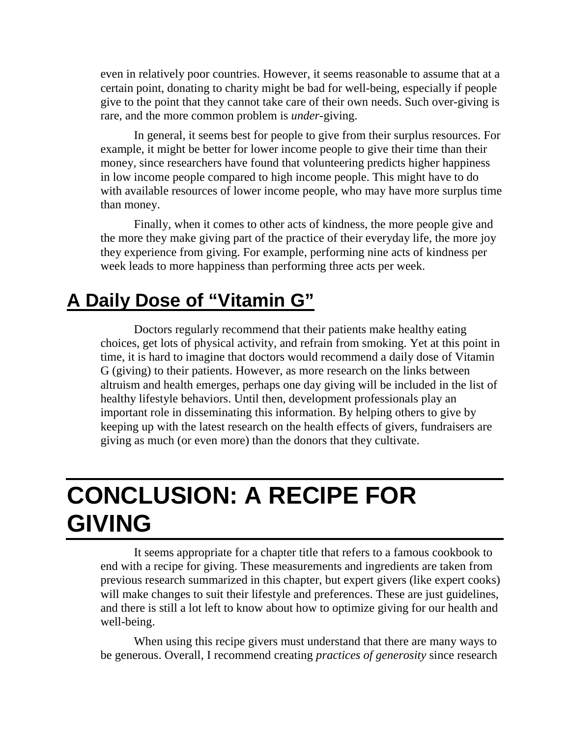even in relatively poor countries. However, it seems reasonable to assume that at a certain point, donating to charity might be bad for well-being, especially if people give to the point that they cannot take care of their own needs. Such over-giving is rare, and the more common problem is *under*-giving.

In general, it seems best for people to give from their surplus resources. For example, it might be better for lower income people to give their time than their money, since researchers have found that volunteering predicts higher happiness in low income people compared to high income people. This might have to do with available resources of lower income people, who may have more surplus time than money.

Finally, when it comes to other acts of kindness, the more people give and the more they make giving part of the practice of their everyday life, the more joy they experience from giving. For example, performing nine acts of kindness per week leads to more happiness than performing three acts per week.

### **A Daily Dose of "Vitamin G"**

Doctors regularly recommend that their patients make healthy eating choices, get lots of physical activity, and refrain from smoking. Yet at this point in time, it is hard to imagine that doctors would recommend a daily dose of Vitamin G (giving) to their patients. However, as more research on the links between altruism and health emerges, perhaps one day giving will be included in the list of healthy lifestyle behaviors. Until then, development professionals play an important role in disseminating this information. By helping others to give by keeping up with the latest research on the health effects of givers, fundraisers are giving as much (or even more) than the donors that they cultivate.

## **CONCLUSION: A RECIPE FOR GIVING**

It seems appropriate for a chapter title that refers to a famous cookbook to end with a recipe for giving. These measurements and ingredients are taken from previous research summarized in this chapter, but expert givers (like expert cooks) will make changes to suit their lifestyle and preferences. These are just guidelines, and there is still a lot left to know about how to optimize giving for our health and well-being.

When using this recipe givers must understand that there are many ways to be generous. Overall, I recommend creating *practices of generosity* since research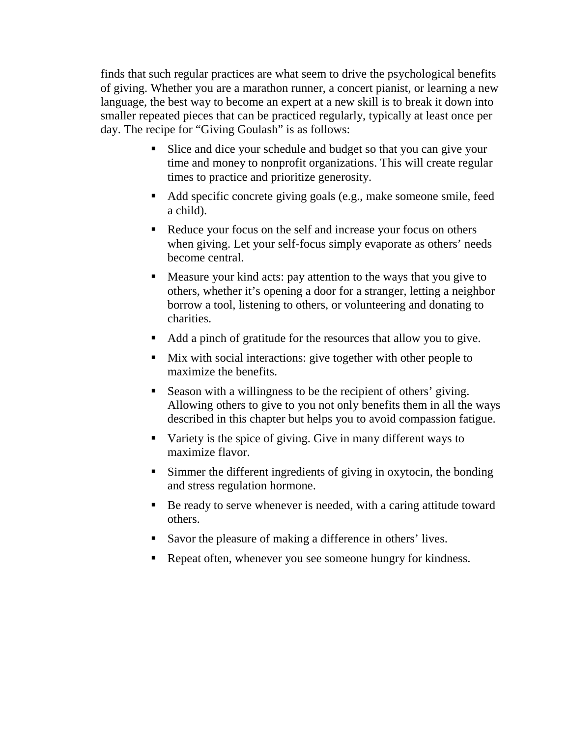finds that such regular practices are what seem to drive the psychological benefits of giving. Whether you are a marathon runner, a concert pianist, or learning a new language, the best way to become an expert at a new skill is to break it down into smaller repeated pieces that can be practiced regularly, typically at least once per day. The recipe for "Giving Goulash" is as follows:

- Slice and dice your schedule and budget so that you can give your time and money to nonprofit organizations. This will create regular times to practice and prioritize generosity.
- Add specific concrete giving goals (e.g., make someone smile, feed a child).
- Reduce your focus on the self and increase your focus on others when giving. Let your self-focus simply evaporate as others' needs become central.
- Measure your kind acts: pay attention to the ways that you give to others, whether it's opening a door for a stranger, letting a neighbor borrow a tool, listening to others, or volunteering and donating to charities.
- Add a pinch of gratitude for the resources that allow you to give.
- Mix with social interactions: give together with other people to maximize the benefits.
- Season with a willingness to be the recipient of others' giving. Allowing others to give to you not only benefits them in all the ways described in this chapter but helps you to avoid compassion fatigue.
- Variety is the spice of giving. Give in many different ways to maximize flavor.
- Simmer the different ingredients of giving in oxytocin, the bonding and stress regulation hormone.
- Be ready to serve whenever is needed, with a caring attitude toward others.
- Savor the pleasure of making a difference in others' lives.
- Repeat often, whenever you see someone hungry for kindness.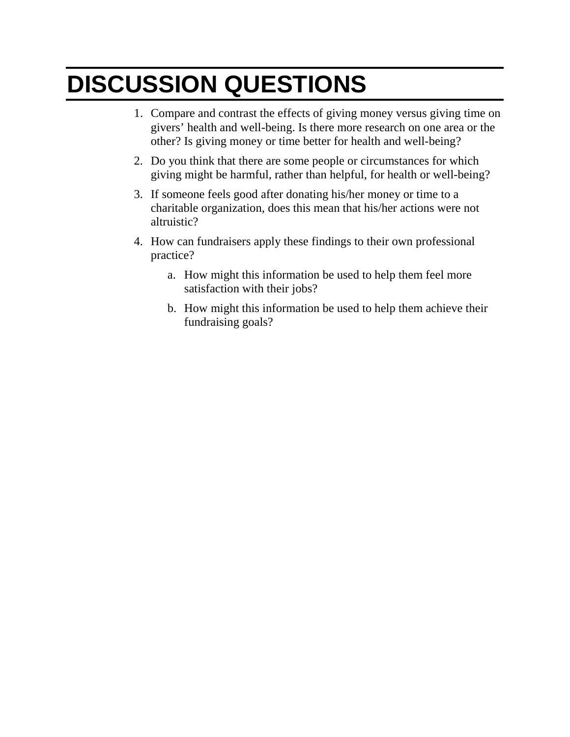# **DISCUSSION QUESTIONS**

- 1. Compare and contrast the effects of giving money versus giving time on givers' health and well-being. Is there more research on one area or the other? Is giving money or time better for health and well-being?
- 2. Do you think that there are some people or circumstances for which giving might be harmful, rather than helpful, for health or well-being?
- 3. If someone feels good after donating his/her money or time to a charitable organization, does this mean that his/her actions were not altruistic?
- 4. How can fundraisers apply these findings to their own professional practice?
	- a. How might this information be used to help them feel more satisfaction with their jobs?
	- b. How might this information be used to help them achieve their fundraising goals?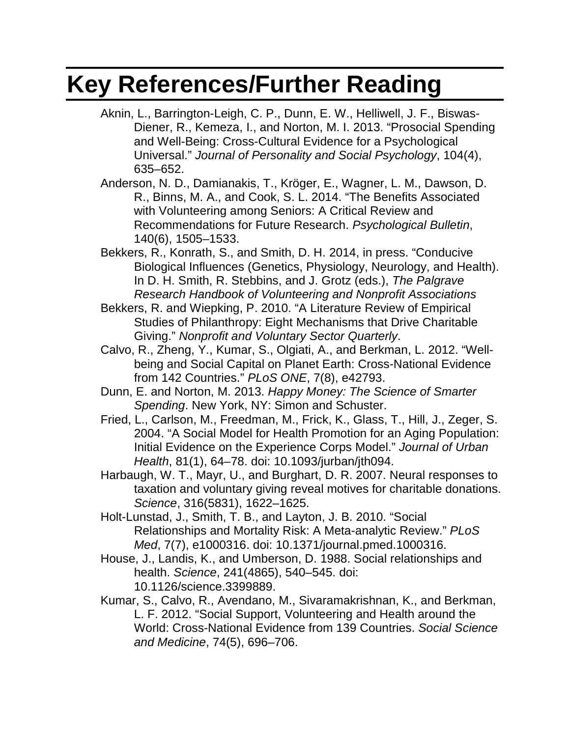## **Key References/Further Reading**

- Aknin, L., Barrington-Leigh, C. P., Dunn, E. W., Helliwell, J. F., Biswas-Diener, R., Kemeza, I., and Norton, M. I. 2013. "Prosocial Spending and Well-Being: Cross-Cultural Evidence for a Psychological Universal." *Journal of Personality and Social Psychology*, 104(4), 635–652.
- Anderson, N. D., Damianakis, T., Kröger, E., Wagner, L. M., Dawson, D. R., Binns, M. A., and Cook, S. L. 2014. "The Benefits Associated with Volunteering among Seniors: A Critical Review and Recommendations for Future Research. *Psychological Bulletin*, 140(6), 1505–1533.
- Bekkers, R., Konrath, S., and Smith, D. H. 2014, in press. "Conducive Biological Influences (Genetics, Physiology, Neurology, and Health). In D. H. Smith, R. Stebbins, and J. Grotz (eds.), *The Palgrave Research Handbook of Volunteering and Nonprofit Associations*
- Bekkers, R. and Wiepking, P. 2010. "A Literature Review of Empirical Studies of Philanthropy: Eight Mechanisms that Drive Charitable Giving." *Nonprofit and Voluntary Sector Quarterly*.
- Calvo, R., Zheng, Y., Kumar, S., Olgiati, A., and Berkman, L. 2012. "Wellbeing and Social Capital on Planet Earth: Cross-National Evidence from 142 Countries." *PLoS ONE*, 7(8), e42793.
- Dunn, E. and Norton, M. 2013. *Happy Money: The Science of Smarter Spending*. New York, NY: Simon and Schuster.
- Fried, L., Carlson, M., Freedman, M., Frick, K., Glass, T., Hill, J., Zeger, S. 2004. "A Social Model for Health Promotion for an Aging Population: Initial Evidence on the Experience Corps Model." *Journal of Urban Health*, 81(1), 64–78. doi: 10.1093/jurban/jth094.
- Harbaugh, W. T., Mayr, U., and Burghart, D. R. 2007. Neural responses to taxation and voluntary giving reveal motives for charitable donations. *Science*, 316(5831), 1622–1625.
- Holt-Lunstad, J., Smith, T. B., and Layton, J. B. 2010. "Social Relationships and Mortality Risk: A Meta-analytic Review." *PLoS Med*, 7(7), e1000316. doi: 10.1371/journal.pmed.1000316.
- House, J., Landis, K., and Umberson, D. 1988. Social relationships and health. *Science*, 241(4865), 540–545. doi: 10.1126/science.3399889.
- Kumar, S., Calvo, R., Avendano, M., Sivaramakrishnan, K., and Berkman, L. F. 2012. "Social Support, Volunteering and Health around the World: Cross-National Evidence from 139 Countries. *Social Science and Medicine*, 74(5), 696–706.